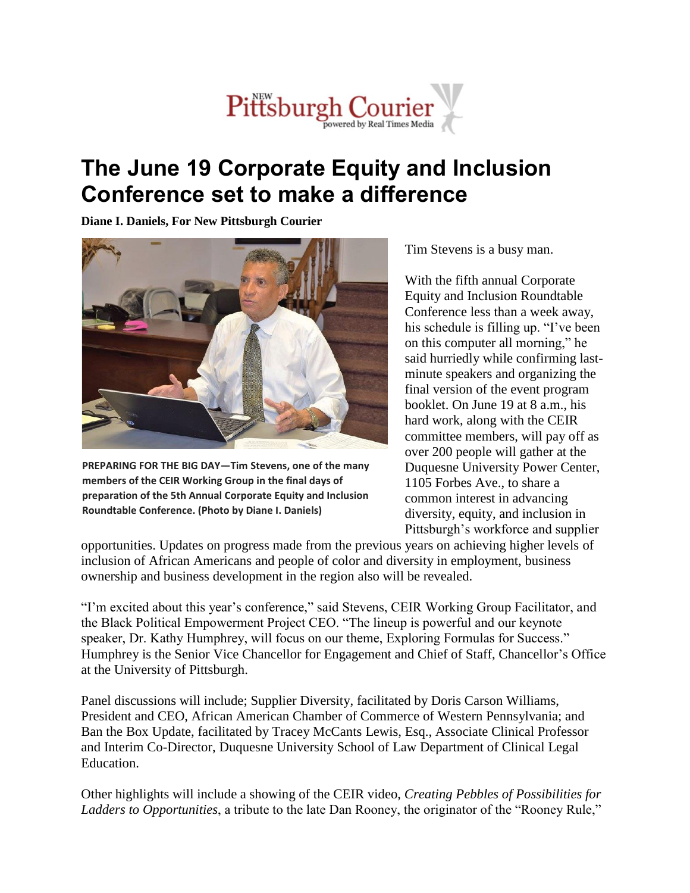## Pittsburgh Courier

## **The June 19 Corporate Equity and Inclusion Conference set to make a difference**

**Diane I. Daniels, For New Pittsburgh Courier**



**PREPARING FOR THE BIG DAY—Tim Stevens, one of the many members of the CEIR Working Group in the final days of preparation of the 5th Annual Corporate Equity and Inclusion Roundtable Conference. (Photo by Diane I. Daniels)**

Tim Stevens is a busy man.

With the fifth annual Corporate Equity and Inclusion Roundtable Conference less than a week away, his schedule is filling up. "I've been on this computer all morning," he said hurriedly while confirming lastminute speakers and organizing the final version of the event program booklet. On June 19 at 8 a.m., his hard work, along with the CEIR committee members, will pay off as over 200 people will gather at the Duquesne University Power Center, 1105 Forbes Ave., to share a common interest in advancing diversity, equity, and inclusion in Pittsburgh's workforce and supplier

opportunities. Updates on progress made from the previous years on achieving higher levels of inclusion of African Americans and people of color and diversity in employment, business ownership and business development in the region also will be revealed.

"I'm excited about this year's conference," said Stevens, CEIR Working Group Facilitator, and the Black Political Empowerment Project CEO. "The lineup is powerful and our keynote speaker, Dr. Kathy Humphrey, will focus on our theme, Exploring Formulas for Success." Humphrey is the Senior Vice Chancellor for Engagement and Chief of Staff, Chancellor's Office at the University of Pittsburgh.

Panel discussions will include; Supplier Diversity, facilitated by Doris Carson Williams, President and CEO, African American Chamber of Commerce of Western Pennsylvania; and Ban the Box Update, facilitated by Tracey McCants Lewis, Esq., Associate Clinical Professor and Interim Co-Director, Duquesne University School of Law Department of Clinical Legal Education.

Other highlights will include a showing of the CEIR video, *Creating Pebbles of Possibilities for Ladders to Opportunities*, a tribute to the late Dan Rooney, the originator of the "Rooney Rule,"